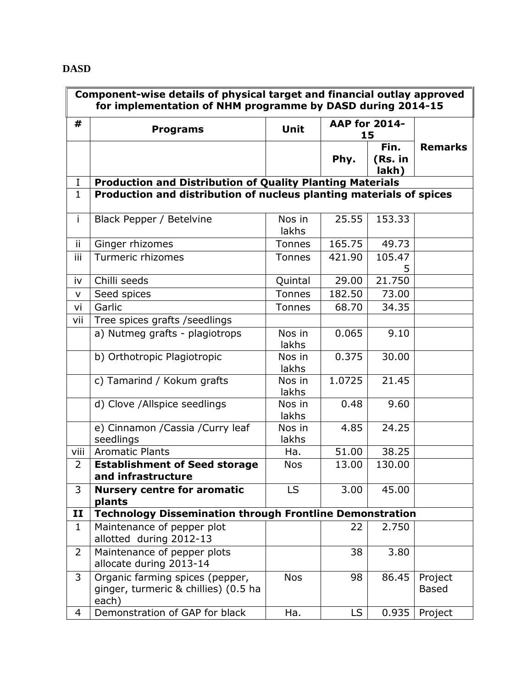## **DASD**

L.

| Component-wise details of physical target and financial outlay approved<br>for implementation of NHM programme by DASD during 2014-15 |                                                                                  |                 |                      |                          |                         |  |  |  |  |
|---------------------------------------------------------------------------------------------------------------------------------------|----------------------------------------------------------------------------------|-----------------|----------------------|--------------------------|-------------------------|--|--|--|--|
| #                                                                                                                                     | <b>Programs</b>                                                                  | <b>Unit</b>     | <b>AAP for 2014-</b> | 15                       |                         |  |  |  |  |
|                                                                                                                                       |                                                                                  |                 | Phy.                 | Fin.<br>(Rs. in<br>lakh) | <b>Remarks</b>          |  |  |  |  |
| $\bf{I}$                                                                                                                              | <b>Production and Distribution of Quality Planting Materials</b>                 |                 |                      |                          |                         |  |  |  |  |
| $\mathbf{1}$                                                                                                                          | Production and distribution of nucleus planting materials of spices              |                 |                      |                          |                         |  |  |  |  |
| $\mathbf{i}$                                                                                                                          | Black Pepper / Betelvine                                                         | Nos in<br>lakhs | 25.55                | 153.33                   |                         |  |  |  |  |
| ij.                                                                                                                                   | Ginger rhizomes                                                                  | Tonnes          | 165.75               | 49.73                    |                         |  |  |  |  |
| iii                                                                                                                                   | Turmeric rhizomes                                                                | <b>Tonnes</b>   | 421.90               | 105.47<br>5              |                         |  |  |  |  |
| iv                                                                                                                                    | Chilli seeds                                                                     | Quintal         | 29.00                | 21.750                   |                         |  |  |  |  |
| V                                                                                                                                     | Seed spices                                                                      | <b>Tonnes</b>   | 182.50               | 73.00                    |                         |  |  |  |  |
| vi                                                                                                                                    | Garlic                                                                           | <b>Tonnes</b>   | 68.70                | 34.35                    |                         |  |  |  |  |
| vii                                                                                                                                   | Tree spices grafts / seedlings                                                   |                 |                      |                          |                         |  |  |  |  |
|                                                                                                                                       | a) Nutmeg grafts - plagiotrops                                                   | Nos in<br>lakhs | 0.065                | 9.10                     |                         |  |  |  |  |
|                                                                                                                                       | b) Orthotropic Plagiotropic                                                      | Nos in<br>lakhs | 0.375                | 30.00                    |                         |  |  |  |  |
|                                                                                                                                       | c) Tamarind / Kokum grafts                                                       | Nos in<br>lakhs | 1.0725               | 21.45                    |                         |  |  |  |  |
|                                                                                                                                       | d) Clove /Allspice seedlings                                                     | Nos in<br>lakhs | 0.48                 | 9.60                     |                         |  |  |  |  |
|                                                                                                                                       | e) Cinnamon / Cassia / Curry leaf<br>seedlings                                   | Nos in<br>lakhs | 4.85                 | 24.25                    |                         |  |  |  |  |
| viii                                                                                                                                  | <b>Aromatic Plants</b>                                                           | Ha.             | 51.00                | 38.25                    |                         |  |  |  |  |
| 2                                                                                                                                     | <b>Establishment of Seed storage</b><br>and infrastructure                       | <b>Nos</b>      | 13.00                | 130.00                   |                         |  |  |  |  |
| 3                                                                                                                                     | <b>Nursery centre for aromatic</b><br>plants                                     | LS              | 3.00                 | 45.00                    |                         |  |  |  |  |
| $\mathbf{I}$                                                                                                                          | <b>Technology Dissemination through Frontline Demonstration</b>                  |                 |                      |                          |                         |  |  |  |  |
| $\mathbf{1}$                                                                                                                          | Maintenance of pepper plot<br>allotted during 2012-13                            |                 | 22                   | 2.750                    |                         |  |  |  |  |
| $\overline{2}$                                                                                                                        | Maintenance of pepper plots<br>allocate during 2013-14                           |                 | 38                   | 3.80                     |                         |  |  |  |  |
| 3                                                                                                                                     | Organic farming spices (pepper,<br>ginger, turmeric & chillies) (0.5 ha<br>each) | <b>Nos</b>      | 98                   | 86.45                    | Project<br><b>Based</b> |  |  |  |  |
| 4                                                                                                                                     | Demonstration of GAP for black                                                   | Ha.             | LS                   | 0.935                    | Project                 |  |  |  |  |